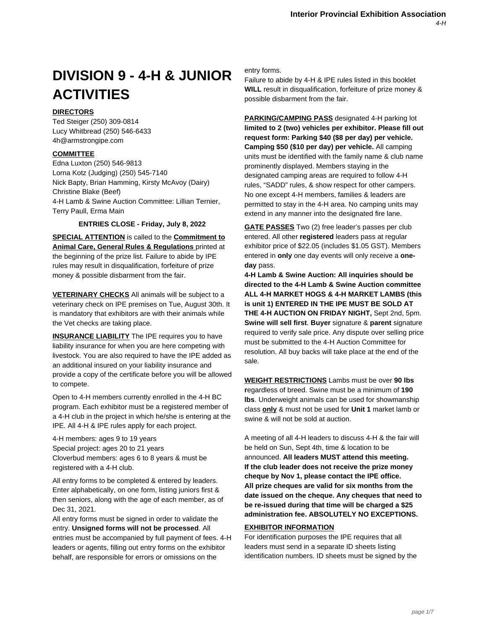# **DIVISION 9 - 4-H & JUNIOR ACTIVITIES**

# **DIRECTORS**

Ted Steiger (250) 309-0814 Lucy Whitbread (250) 546-6433 4h@armstrongipe.com

# **COMMITTEE**

Edna Luxton (250) 546-9813 Lorna Kotz (Judging) (250) 545-7140 Nick Bapty, Brian Hamming, Kirsty McAvoy (Dairy) Christine Blake (Beef) 4-H Lamb & Swine Auction Committee: Lillian Ternier, Terry Paull, Erma Main

# **ENTRIES CLOSE - Friday, July 8, 2022**

**SPECIAL ATTENTION** is called to the **Commitment to Animal Care, General Rules & Regulations** printed at the beginning of the prize list. Failure to abide by IPE rules may result in disqualification, forfeiture of prize money & possible disbarment from the fair.

**VETERINARY CHECKS** All animals will be subject to a veterinary check on IPE premises on Tue, August 30th. It is mandatory that exhibitors are with their animals while the Vet checks are taking place.

**INSURANCE LIABILITY** The IPE requires you to have liability insurance for when you are here competing with livestock. You are also required to have the IPE added as an additional insured on your liability insurance and provide a copy of the certificate before you will be allowed to compete.

Open to 4-H members currently enrolled in the 4-H BC program. Each exhibitor must be a registered member of a 4-H club in the project in which he/she is entering at the IPE. All 4-H & IPE rules apply for each project.

4-H members: ages 9 to 19 years Special project: ages 20 to 21 years Cloverbud members: ages 6 to 8 years & must be registered with a 4-H club.

All entry forms to be completed & entered by leaders. Enter alphabetically, on one form, listing juniors first & then seniors, along with the age of each member, as of Dec 31, 2021.

All entry forms must be signed in order to validate the entry. **Unsigned forms will not be processed**. All entries must be accompanied by full payment of fees. 4-H leaders or agents, filling out entry forms on the exhibitor behalf, are responsible for errors or omissions on the

entry forms.

Failure to abide by 4-H & IPE rules listed in this booklet **WILL** result in disqualification, forfeiture of prize money & possible disbarment from the fair.

**PARKING/CAMPING PASS** designated 4-H parking lot **limited to 2 (two) vehicles per exhibitor. Please fill out request form: Parking \$40 (\$8 per day) per vehicle. Camping \$50 (\$10 per day) per vehicle.** All camping units must be identified with the family name & club name prominently displayed. Members staying in the designated camping areas are required to follow 4-H rules, "SADD" rules, & show respect for other campers. No one except 4-H members, families & leaders are permitted to stay in the 4-H area. No camping units may extend in any manner into the designated fire lane.

**GATE PASSES** Two (2) free leader's passes per club entered. All other **registered** leaders pass at regular exhibitor price of \$22.05 (includes \$1.05 GST). Members entered in **only** one day events will only receive a **oneday** pass.

**4-H Lamb & Swine Auction: All inquiries should be directed to the 4-H Lamb & Swine Auction committee ALL 4-H MARKET HOGS & 4-H MARKET LAMBS (this is unit 1) ENTERED IN THE IPE MUST BE SOLD AT THE 4-H AUCTION ON FRIDAY NIGHT,** Sept 2nd, 5pm. **Swine will sell first**. **Buyer** signature & **parent** signature required to verify sale price. Any dispute over selling price must be submitted to the 4-H Auction Committee for resolution. All buy backs will take place at the end of the sale.

**WEIGHT RESTRICTIONS** Lambs must be over **90 lbs r**egardless of breed. Swine must be a minimum of **190 lbs**. Underweight animals can be used for showmanship class **only** & must not be used for **Unit 1** market lamb or swine & will not be sold at auction.

A meeting of all 4-H leaders to discuss 4-H & the fair will be held on Sun, Sept 4th, time & location to be announced. **All leaders MUST attend this meeting. If the club leader does not receive the prize money cheque by Nov 1, please contact the IPE office. All prize cheques are valid for six months from the date issued on the cheque. Any cheques that need to be re-issued during that time will be charged a \$25 administration fee. ABSOLUTELY NO EXCEPTIONS.**

# **EXHIBITOR INFORMATION**

For identification purposes the IPE requires that all leaders must send in a separate ID sheets listing identification numbers. ID sheets must be signed by the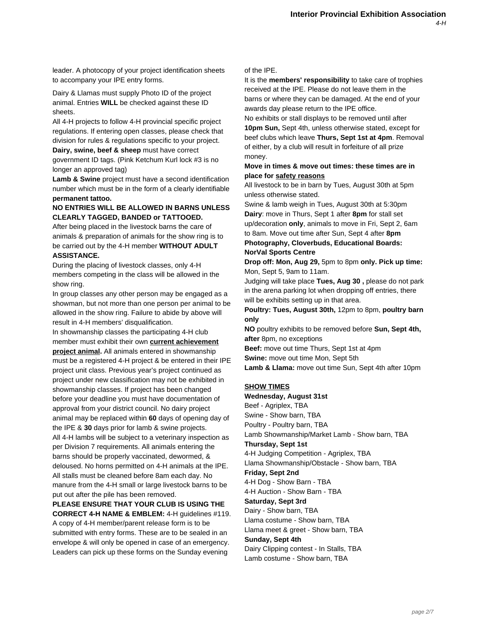leader. A photocopy of your project identification sheets to accompany your IPE entry forms.

Dairy & Llamas must supply Photo ID of the project animal. Entries **WILL** be checked against these ID sheets.

All 4-H projects to follow 4-H provincial specific project regulations. If entering open classes, please check that division for rules & regulations specific to your project.

**Dairy, swine, beef & sheep** must have correct government ID tags. (Pink Ketchum Kurl lock #3 is no longer an approved tag)

**Lamb & Swine** project must have a second identification number which must be in the form of a clearly identifiable **permanent tattoo.**

### **NO ENTRIES WILL BE ALLOWED IN BARNS UNLESS CLEARLY TAGGED, BANDED or TATTOOED.**

After being placed in the livestock barns the care of animals & preparation of animals for the show ring is to be carried out by the 4-H member **WITHOUT ADULT ASSISTANCE.**

During the placing of livestock classes, only 4-H members competing in the class will be allowed in the show ring.

In group classes any other person may be engaged as a showman, but not more than one person per animal to be allowed in the show ring. Failure to abide by above will result in 4-H members' disqualification.

In showmanship classes the participating 4-H club member must exhibit their own **current achievement project animal.** All animals entered in showmanship must be a registered 4-H project & be entered in their IPE project unit class. Previous year's project continued as project under new classification may not be exhibited in showmanship classes. If project has been changed before your deadline you must have documentation of approval from your district council. No dairy project animal may be replaced within **60** days of opening day of the IPE & **30** days prior for lamb & swine projects. All 4-H lambs will be subject to a veterinary inspection as per Division 7 requirements. All animals entering the barns should be properly vaccinated, dewormed, & deloused. No horns permitted on 4-H animals at the IPE. All stalls must be cleaned before 8am each day. No manure from the 4-H small or large livestock barns to be put out after the pile has been removed.

**PLEASE ENSURE THAT YOUR CLUB IS USING THE CORRECT 4-H NAME & EMBLEM:** 4-H guidelines #119. A copy of 4-H member/parent release form is to be submitted with entry forms. These are to be sealed in an envelope & will only be opened in case of an emergency. Leaders can pick up these forms on the Sunday evening

of the IPE.

It is the **members' responsibility** to take care of trophies received at the IPE. Please do not leave them in the barns or where they can be damaged. At the end of your awards day please return to the IPE office.

No exhibits or stall displays to be removed until after **10pm Sun,** Sept 4th, unless otherwise stated, except for beef clubs which leave **Thurs, Sept 1st at 4pm**. Removal of either, by a club will result in forfeiture of all prize money.

# **Move in times & move out times: these times are in place for safety reasons**

All livestock to be in barn by Tues, August 30th at 5pm unless otherwise stated.

Swine & lamb weigh in Tues, August 30th at 5:30pm **Dairy**: move in Thurs, Sept 1 after **8pm** for stall set up/decoration **only**, animals to move in Fri, Sept 2, 6am to 8am. Move out time after Sun, Sept 4 after **8pm**

**Photography, Cloverbuds, Educational Boards: NorVal Sports Centre**

**Drop off: Mon, Aug 29,** 5pm to 8pm **only. Pick up time:** Mon, Sept 5, 9am to 11am.

Judging will take place **Tues, Aug 30 ,** please do not park in the arena parking lot when dropping off entries, there will be exhibits setting up in that area.

**Poultry: Tues, August 30th,** 12pm to 8pm, **poultry barn only**

**NO** poultry exhibits to be removed before **Sun, Sept 4th, after** 8pm, no exceptions

**Beef:** move out time Thurs, Sept 1st at 4pm

**Swine:** move out time Mon, Sept 5th

**Lamb & Llama:** move out time Sun, Sept 4th after 10pm

# **SHOW TIMES**

**Wednesday, August 31st** Beef - Agriplex, TBA Swine - Show barn, TBA Poultry - Poultry barn, TBA Lamb Showmanship/Market Lamb - Show barn, TBA **Thursday, Sept 1st** 4-H Judging Competition - Agriplex, TBA Llama Showmanship/Obstacle - Show barn, TBA **Friday, Sept 2nd** 4-H Dog - Show Barn - TBA 4-H Auction - Show Barn - TBA **Saturday, Sept 3rd** Dairy - Show barn, TBA Llama costume - Show barn, TBA Llama meet & greet - Show barn, TBA **Sunday, Sept 4th** Dairy Clipping contest - In Stalls, TBA Lamb costume - Show barn, TBA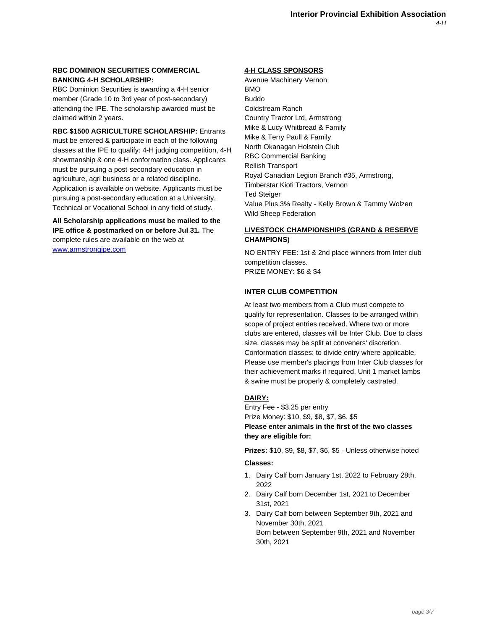# **RBC DOMINION SECURITIES COMMERCIAL BANKING 4-H SCHOLARSHIP:**

RBC Dominion Securities is awarding a 4-H senior member (Grade 10 to 3rd year of post-secondary) attending the IPE. The scholarship awarded must be claimed within 2 years.

**RBC \$1500 AGRICULTURE SCHOLARSHIP:** Entrants must be entered & participate in each of the following classes at the IPE to qualify: 4-H judging competition, 4-H showmanship & one 4-H conformation class. Applicants must be pursuing a post-secondary education in agriculture, agri business or a related discipline. Application is available on website. Applicants must be pursuing a post-secondary education at a University, Technical or Vocational School in any field of study.

**All Scholarship applications must be mailed to the IPE office & postmarked on or before Jul 31.** The [complete rules are](http://www.armstrongipe.com) available on the web at www.armstrongipe.com

### **4-H CLASS SPONSORS**

Avenue Machinery Vernon BMO Buddo Coldstream Ranch Country Tractor Ltd, Armstrong Mike & Lucy Whitbread & Family Mike & Terry Paull & Family North Okanagan Holstein Club RBC Commercial Banking Rellish Transport Royal Canadian Legion Branch #35, Armstrong, Timberstar Kioti Tractors, Vernon Ted Steiger Value Plus 3% Realty - Kelly Brown & Tammy Wolzen Wild Sheep Federation

# **LIVESTOCK CHAMPIONSHIPS (GRAND & RESERVE CHAMPIONS)**

NO ENTRY FEE: 1st & 2nd place winners from Inter club competition classes. PRIZE MONEY: \$6 & \$4

# **INTER CLUB COMPETITION**

At least two members from a Club must compete to qualify for representation. Classes to be arranged within scope of project entries received. Where two or more clubs are entered, classes will be Inter Club. Due to class size, classes may be split at conveners' discretion. Conformation classes: to divide entry where applicable. Please use member's placings from Inter Club classes for their achievement marks if required. Unit 1 market lambs & swine must be properly & completely castrated.

# **DAIRY:**

Entry Fee - \$3.25 per entry Prize Money: \$10, \$9, \$8, \$7, \$6, \$5 **Please enter animals in the first of the two classes they are eligible for:**

**Prizes:** \$10, \$9, \$8, \$7, \$6, \$5 - Unless otherwise noted **Classes:**

- 1. Dairy Calf born January 1st, 2022 to February 28th, 2022
- 2. Dairy Calf born December 1st, 2021 to December 31st, 2021
- 3. Dairy Calf born between September 9th, 2021 and November 30th, 2021 Born between September 9th, 2021 and November 30th, 2021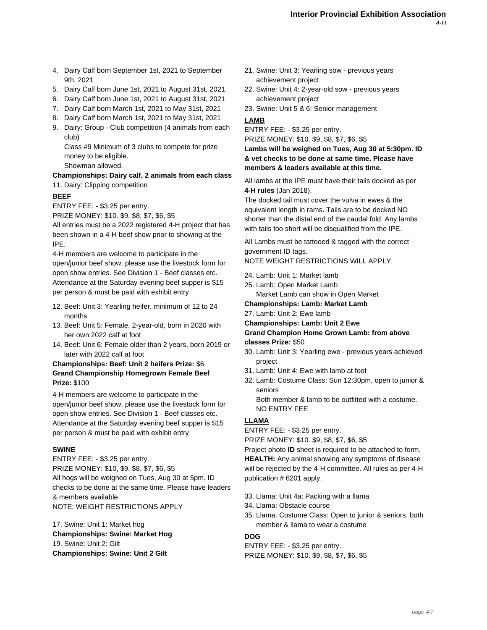- 4. Dairy Calf born September 1st, 2021 to September 9th, 2021
- 5. Dairy Calf born June 1st, 2021 to August 31st, 2021
- 6. Dairy Calf born June 1st, 2021 to August 31st, 2021
- 7. Dairy Calf born March 1st, 2021 to May 31st, 2021
- 8. Dairy Calf born March 1st, 2021 to May 31st, 2021
- 9. Dairy: Group Club competition (4 animals from each club)

Class #9 Minimum of 3 clubs to compete for prize money to be eligible.

Showman allowed.

#### **Championships: Dairy calf, 2 animals from each class** 11. Dairy: Clipping competition

# **BEEF**

ENTRY FEE: - \$3.25 per entry.

PRIZE MONEY: \$10. \$9, \$8, \$7, \$6, \$5

All entries must be a 2022 registered 4-H project that has been shown in a 4-H beef show prior to showing at the IPE.

4-H members are welcome to participate in the open/junior beef show, please use the livestock form for open show entries. See Division 1 - Beef classes etc. Attendance at the Saturday evening beef supper is \$15 per person & must be paid with exhibit entry

- 12. Beef: Unit 3: Yearling heifer, minimum of 12 to 24 months
- 13. Beef: Unit 5: Female, 2-year-old, born in 2020 with her own 2022 calf at foot
- 14. Beef: Unit 6: Female older than 2 years, born 2019 or later with 2022 calf at foot

# **Championships: Beef: Unit 2 heifers Prize:** \$6 **Grand Championship Homegrown Female Beef Prize:** \$100

4-H members are welcome to participate in the open/junior beef show, please use the livestock form for open show entries. See Division 1 - Beef classes etc. Attendance at the Saturday evening beef supper is \$15 per person & must be paid with exhibit entry

#### **SWINE**

ENTRY FEE: - \$3.25 per entry. PRIZE MONEY: \$10, \$9, \$8, \$7, \$6, \$5 All hogs will be weighed on Tues, Aug 30 at 5pm. ID checks to be done at the same time. Please have leaders & members available. NOTE: WEIGHT RESTRICTIONS APPLY

17. Swine: Unit 1: Market hog **Championships: Swine: Market Hog** 19. Swine: Unit 2: Gilt **Championships: Swine: Unit 2 Gilt**

- 21. Swine: Unit 3: Yearling sow previous years achievement project
- 22. Swine: Unit 4: 2-year-old sow previous years achievement project
- 23. Swine: Unit 5 & 6: Senior management

# **LAMB**

ENTRY FEE: - \$3.25 per entry. PRIZE MONEY: \$10. \$9, \$8, \$7, \$6, \$5

**Lambs will be weighed on Tues, Aug 30 at 5:30pm. ID & vet checks to be done at same time. Please have members & leaders available at this time.**

All lambs at the IPE must have their tails docked as per **4-H rules** (Jan 2018).

The docked tail must cover the vulva in ewes & the equivalent length in rams. Tails are to be docked NO shorter than the distal end of the caudal fold. Any lambs with tails too short will be disqualified from the IPE.

All Lambs must be tattooed & tagged with the correct government ID tags.

NOTE WEIGHT RESTRICTIONS WILL APPLY

- 24. Lamb: Unit 1: Market lamb
- 25. Lamb: Open Market Lamb

Market Lamb can show in Open Market

# **Championships: Lamb: Market Lamb**

27. Lamb: Unit 2: Ewe lamb **Championships: Lamb: Unit 2 Ewe**

# **Grand Champion Home Grown Lamb: from above classes Prize:** \$50

- 30. Lamb: Unit 3: Yearling ewe previous years achieved project
- 31. Lamb: Unit 4: Ewe with lamb at foot
- 32. Lamb: Costume Class: Sun 12:30pm, open to junior & seniors

Both member & lamb to be outfitted with a costume. NO ENTRY FEE

# **LLAMA**

ENTRY FEE: - \$3.25 per entry.

PRIZE MONEY: \$10. \$9, \$8, \$7, \$6, \$5 Project photo **ID** sheet is required to be attached to form. **HEALTH:** Any animal showing any symptoms of disease will be rejected by the 4-H committee. All rules as per 4-H

publication # 6201 apply.

- 33. Llama: Unit 4a: Packing with a llama
- 34. Llama: Obstacle course
- 35. Llama: Costume Class: Open to junior & seniors, both member & llama to wear a costume

# **DOG**

ENTRY FEE: - \$3.25 per entry. PRIZE MONEY: \$10. \$9, \$8, \$7, \$6, \$5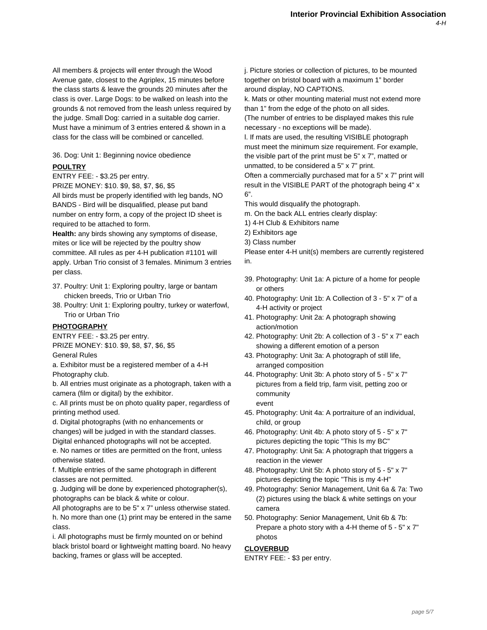All members & projects will enter through the Wood Avenue gate, closest to the Agriplex, 15 minutes before the class starts & leave the grounds 20 minutes after the class is over. Large Dogs: to be walked on leash into the grounds & not removed from the leash unless required by the judge. Small Dog: carried in a suitable dog carrier. Must have a minimum of 3 entries entered & shown in a class for the class will be combined or cancelled.

#### 36. Dog: Unit 1: Beginning novice obedience

#### **POULTRY**

ENTRY FEE: - \$3.25 per entry.

PRIZE MONEY: \$10. \$9, \$8, \$7, \$6, \$5

All birds must be properly identified with leg bands, NO BANDS - Bird will be disqualified, please put band number on entry form, a copy of the project ID sheet is required to be attached to form.

**Health:** any birds showing any symptoms of disease, mites or lice will be rejected by the poultry show committee. All rules as per 4-H publication #1101 will apply. Urban Trio consist of 3 females. Minimum 3 entries per class.

- 37. Poultry: Unit 1: Exploring poultry, large or bantam chicken breeds, Trio or Urban Trio
- 38. Poultry: Unit 1: Exploring poultry, turkey or waterfowl, Trio or Urban Trio

#### **PHOTOGRAPHY**

ENTRY FEE: - \$3.25 per entry.

PRIZE MONEY: \$10. \$9, \$8, \$7, \$6, \$5

General Rules

a. Exhibitor must be a registered member of a 4-H Photography club.

b. All entries must originate as a photograph, taken with a camera (film or digital) by the exhibitor.

c. All prints must be on photo quality paper, regardless of printing method used.

d. Digital photographs (with no enhancements or

changes) will be judged in with the standard classes. Digital enhanced photographs will not be accepted.

e. No names or titles are permitted on the front, unless otherwise stated.

f. Multiple entries of the same photograph in different classes are not permitted.

g. Judging will be done by experienced photographer(s), photographs can be black & white or colour.

All photographs are to be 5" x 7" unless otherwise stated. h. No more than one (1) print may be entered in the same class.

i. All photographs must be firmly mounted on or behind black bristol board or lightweight matting board. No heavy backing, frames or glass will be accepted.

j. Picture stories or collection of pictures, to be mounted together on bristol board with a maximum 1" border around display, NO CAPTIONS.

k. Mats or other mounting material must not extend more than 1" from the edge of the photo on all sides.

(The number of entries to be displayed makes this rule necessary - no exceptions will be made).

l. If mats are used, the resulting VISIBLE photograph must meet the minimum size requirement. For example, the visible part of the print must be 5" x 7", matted or unmatted, to be considered a 5" x 7" print.

Often a commercially purchased mat for a 5" x 7" print will result in the VISIBLE PART of the photograph being 4" x 6".

This would disqualify the photograph.

- m. On the back ALL entries clearly display:
- 1) 4-H Club & Exhibitors name
- 2) Exhibitors age
- 3) Class number

Please enter 4-H unit(s) members are currently registered in.

- 39. Photography: Unit 1a: A picture of a home for people or others
- 40. Photography: Unit 1b: A Collection of 3 5" x 7" of a 4-H activity or project
- 41. Photography: Unit 2a: A photograph showing action/motion
- 42. Photography: Unit 2b: A collection of 3 5" x 7" each showing a different emotion of a person
- 43. Photography: Unit 3a: A photograph of still life, arranged composition
- 44. Photography: Unit 3b: A photo story of 5 5" x 7" pictures from a field trip, farm visit, petting zoo or community event
- 45. Photography: Unit 4a: A portraiture of an individual, child, or group
- 46. Photography: Unit 4b: A photo story of 5 5" x 7" pictures depicting the topic "This Is my BC"
- 47. Photography: Unit 5a: A photograph that triggers a reaction in the viewer
- 48. Photography: Unit 5b: A photo story of 5 5" x 7" pictures depicting the topic "This is my 4-H"
- 49. Photography: Senior Management, Unit 6a & 7a: Two (2) pictures using the black & white settings on your camera
- 50. Photography: Senior Management, Unit 6b & 7b: Prepare a photo story with a 4-H theme of 5 - 5" x 7" photos

#### **CLOVERBUD**

ENTRY FEE: - \$3 per entry.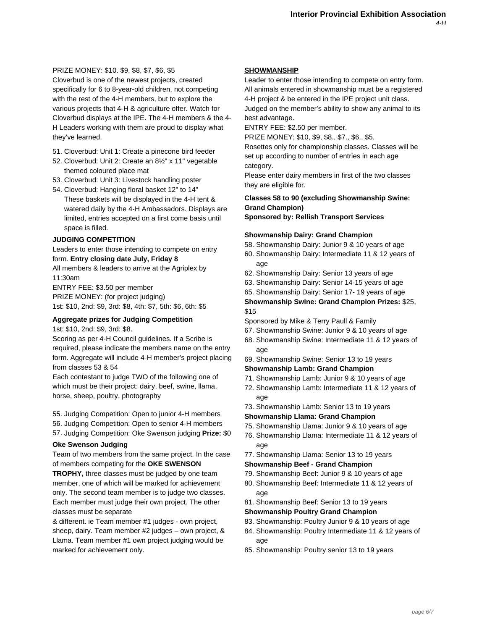# PRIZE MONEY: \$10. \$9, \$8, \$7, \$6, \$5

Cloverbud is one of the newest projects, created specifically for 6 to 8-year-old children, not competing with the rest of the 4-H members, but to explore the various projects that 4-H & agriculture offer. Watch for Cloverbud displays at the IPE. The 4-H members & the 4- H Leaders working with them are proud to display what they've learned.

- 51. Cloverbud: Unit 1: Create a pinecone bird feeder
- 52. Cloverbud: Unit 2: Create an 8½" x 11" vegetable themed coloured place mat
- 53. Cloverbud: Unit 3: Livestock handling poster
- 54. Cloverbud: Hanging floral basket 12" to 14" These baskets will be displayed in the 4-H tent & watered daily by the 4-H Ambassadors. Displays are limited, entries accepted on a first come basis until space is filled.

# **JUDGING COMPETITION**

Leaders to enter those intending to compete on entry form. **Entry closing date July, Friday 8**

All members & leaders to arrive at the Agriplex by 11:30am

ENTRY FEE: \$3.50 per member PRIZE MONEY: (for project judging) 1st: \$10, 2nd: \$9, 3rd: \$8, 4th: \$7, 5th: \$6, 6th: \$5

#### **Aggregate prizes for Judging Competition**

1st: \$10, 2nd: \$9, 3rd: \$8.

Scoring as per 4-H Council guidelines. If a Scribe is required, please indicate the members name on the entry form. Aggregate will include 4-H member's project placing from classes 53 & 54

Each contestant to judge TWO of the following one of which must be their project: dairy, beef, swine, llama, horse, sheep, poultry, photography

55. Judging Competition: Open to junior 4-H members 56. Judging Competition: Open to senior 4-H members 57. Judging Competition: Oke Swenson judging **Prize:** \$0

#### **Oke Swenson Judging**

Team of two members from the same project. In the case of members competing for the **OKE SWENSON**

**TROPHY,** three classes must be judged by one team member, one of which will be marked for achievement only. The second team member is to judge two classes. Each member must judge their own project. The other classes must be separate

& different. ie Team member #1 judges - own project, sheep, dairy. Team member #2 judges – own project, & Llama. Team member #1 own project judging would be marked for achievement only.

### **SHOWMANSHIP**

Leader to enter those intending to compete on entry form. All animals entered in showmanship must be a registered 4-H project & be entered in the IPE project unit class. Judged on the member's ability to show any animal to its best advantage.

ENTRY FEE: \$2.50 per member.

PRIZE MONEY: \$10, \$9, \$8., \$7., \$6., \$5.

Rosettes only for championship classes. Classes will be set up according to number of entries in each age category.

Please enter dairy members in first of the two classes they are eligible for.

# **Classes 58 to 90 (excluding Showmanship Swine: Grand Champion)**

**Sponsored by: Rellish Transport Services**

# **Showmanship Dairy: Grand Champion**

58. Showmanship Dairy: Junior 9 & 10 years of age

- 60. Showmanship Dairy: Intermediate 11 & 12 years of age
- 62. Showmanship Dairy: Senior 13 years of age
- 63. Showmanship Dairy: Senior 14-15 years of age
- 65. Showmanship Dairy: Senior 17- 19 years of age

**Showmanship Swine: Grand Champion Prizes:** \$25, \$15

Sponsored by Mike & Terry Paull & Family

- 67. Showmanship Swine: Junior 9 & 10 years of age
- 68. Showmanship Swine: Intermediate 11 & 12 years of age
- 69. Showmanship Swine: Senior 13 to 19 years

#### **Showmanship Lamb: Grand Champion**

- 71. Showmanship Lamb: Junior 9 & 10 years of age
- 72. Showmanship Lamb: Intermediate 11 & 12 years of age
- 73. Showmanship Lamb: Senior 13 to 19 years
- **Showmanship Llama: Grand Champion**
- 75. Showmanship Llama: Junior 9 & 10 years of age
- 76. Showmanship Llama: Intermediate 11 & 12 years of age
- 77. Showmanship Llama: Senior 13 to 19 years

#### **Showmanship Beef - Grand Champion**

- 79. Showmanship Beef: Junior 9 & 10 years of age
- 80. Showmanship Beef: Intermediate 11 & 12 years of age
- 81. Showmanship Beef: Senior 13 to 19 years
- **Showmanship Poultry Grand Champion**
- 83. Showmanship: Poultry Junior 9 & 10 years of age
- 84. Showmanship: Poultry Intermediate 11 & 12 years of age
- 85. Showmanship: Poultry senior 13 to 19 years